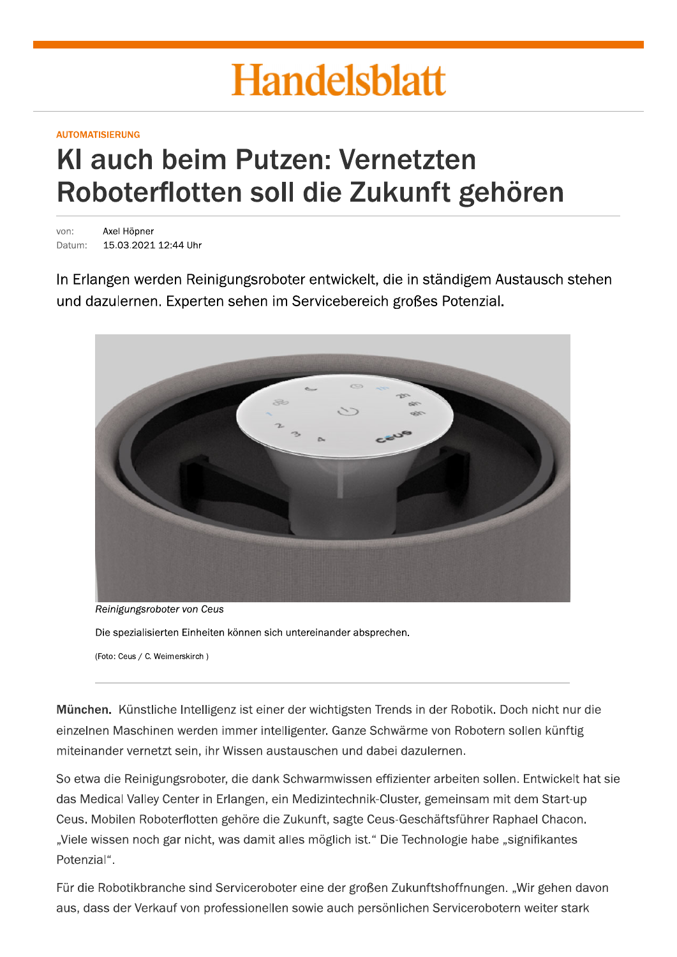# **Handelsblatt**

#### **AUTOMATISIERUNG**

# KI auch beim Putzen: Vernetzten Roboterflotten soll die Zukunft gehören

Axel Höpner von<sup>-</sup> Datum: 15.03.2021 12:44 Uhr

In Erlangen werden Reinigungsroboter entwickelt, die in ständigem Austausch stehen und dazulernen. Experten sehen im Servicebereich großes Potenzial.



Reinigungsroboter von Ceus

Die spezialisierten Einheiten können sich untereinander absprechen.

(Foto: Ceus / C. Weimerskirch)

München. Künstliche Intelligenz ist einer der wichtigsten Trends in der Robotik. Doch nicht nur die einzelnen Maschinen werden immer intelligenter. Ganze Schwärme von Robotern sollen künftig miteinander vernetzt sein, ihr Wissen austauschen und dabei dazulernen.

So etwa die Reinigungsroboter, die dank Schwarmwissen effizienter arbeiten sollen. Entwickelt hat sie das Medical Valley Center in Erlangen, ein Medizintechnik-Cluster, gemeinsam mit dem Start-up Ceus. Mobilen Roboterflotten gehöre die Zukunft, sagte Ceus-Geschäftsführer Raphael Chacon. "Viele wissen noch gar nicht, was damit alles möglich ist." Die Technologie habe "signifikantes Potenzial".

Für die Robotikbranche sind Serviceroboter eine der großen Zukunftshoffnungen. "Wir gehen davon aus, dass der Verkauf von professionellen sowie auch persönlichen Servicerobotern weiter stark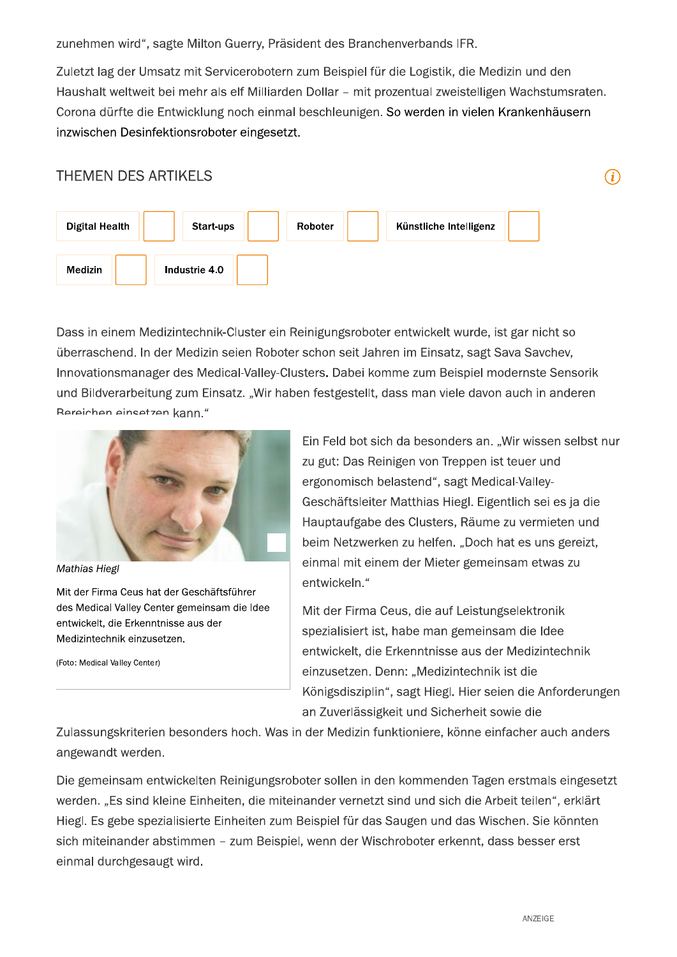zunehmen wird", sagte Milton Guerry, Präsident des Branchenverbands IFR.

Zuletzt lag der Umsatz mit Servicerobotern zum Beispiel für die Logistik, die Medizin und den Haushalt weltweit bei mehr als elf Milliarden Dollar - mit prozentual zweistelligen Wachstumsraten. Corona dürfte die Entwicklung noch einmal beschleunigen. So werden in vielen Krankenhäusern inzwischen Desinfektionsroboter eingesetzt.

### **THEMEN DES ARTIKELS**



Dass in einem Medizintechnik-Cluster ein Reinigungsroboter entwickelt wurde, ist gar nicht so überraschend. In der Medizin seien Roboter schon seit Jahren im Einsatz, sagt Sava Savchev, Innovationsmanager des Medical-Valley-Clusters, Dabei komme zum Beispiel modernste Sensorik und Bildverarbeitung zum Einsatz. "Wir haben festgestellt, dass man viele davon auch in anderen Rereichen einsetzen kann."



**Mathias Hiegl** 

Mit der Firma Ceus hat der Geschäftsführer des Medical Valley Center gemeinsam die Idee entwickelt, die Erkenntnisse aus der Medizintechnik einzusetzen.

(Foto: Medical Valley Center)

Ein Feld bot sich da besonders an. "Wir wissen selbst nur zu gut: Das Reinigen von Treppen ist teuer und ergonomisch belastend", sagt Medical-Valley-Geschäftsleiter Matthias Hiegl. Eigentlich sei es ja die Hauptaufgabe des Clusters, Räume zu vermieten und beim Netzwerken zu helfen. "Doch hat es uns gereizt. einmal mit einem der Mieter gemeinsam etwas zu entwickeln."

 $(i)$ 

Mit der Firma Ceus, die auf Leistungselektronik spezialisiert ist, habe man gemeinsam die Idee entwickelt, die Erkenntnisse aus der Medizintechnik einzusetzen. Denn: "Medizintechnik ist die Königsdisziplin", sagt Hiegl. Hier seien die Anforderungen an Zuverlässigkeit und Sicherheit sowie die

Zulassungskriterien besonders hoch. Was in der Medizin funktioniere, könne einfacher auch anders angewandt werden.

Die gemeinsam entwickelten Reinigungsroboter sollen in den kommenden Tagen erstmals eingesetzt werden. "Es sind kleine Einheiten, die miteinander vernetzt sind und sich die Arbeit teilen", erklärt Hiegl. Es gebe spezialisierte Einheiten zum Beispiel für das Saugen und das Wischen. Sie könnten sich miteinander abstimmen - zum Beispiel, wenn der Wischroboter erkennt, dass besser erst einmal durchgesaugt wird.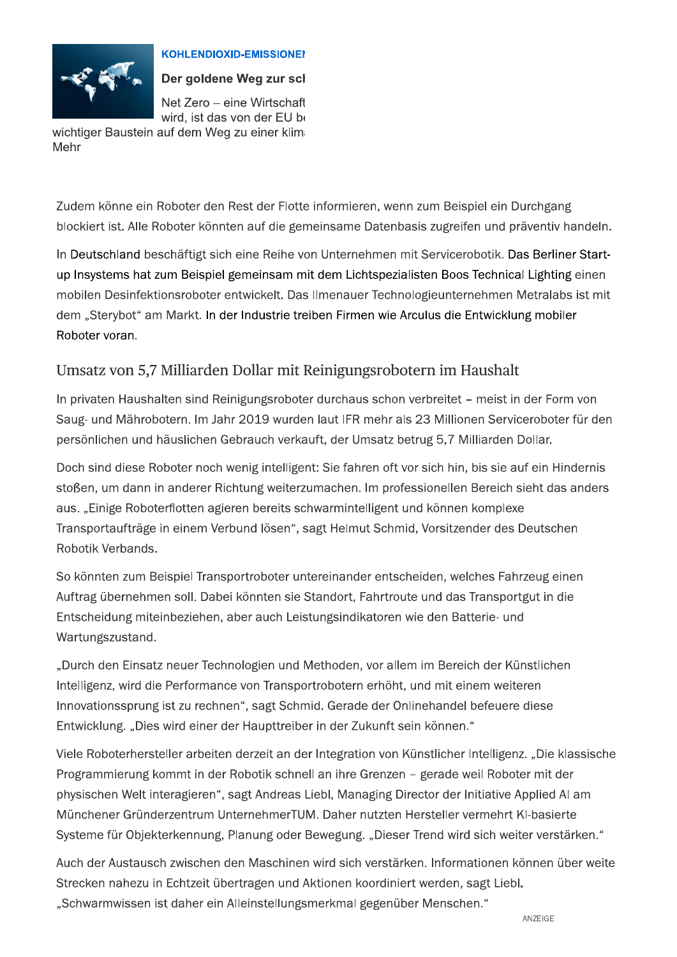

#### **KOHLENDIOXID-EMISSIONEN**

Der goldene Weg zur scl

Net Zero - eine Wirtschaft wird, ist das von der EU be

wichtiger Baustein auf dem Weg zu einer klim Mehr

Zudem könne ein Roboter den Rest der Flotte informieren, wenn zum Beispiel ein Durchgang blockiert ist. Alle Roboter könnten auf die gemeinsame Datenbasis zugreifen und präventiv handeln.

In Deutschland beschäftigt sich eine Reihe von Unternehmen mit Servicerobotik. Das Berliner Startup Insystems hat zum Beispiel gemeinsam mit dem Lichtspezialisten Boos Technical Lighting einen mobilen Desinfektionsroboter entwickelt. Das Ilmenauer Technologieunternehmen Metralabs ist mit dem "Sterybot" am Markt. In der Industrie treiben Firmen wie Arculus die Entwicklung mobiler Roboter voran.

## Umsatz von 5,7 Milliarden Dollar mit Reinigungsrobotern im Haushalt

In privaten Haushalten sind Reinigungsroboter durchaus schon verbreitet - meist in der Form von Saug- und Mährobotern. Im Jahr 2019 wurden laut IFR mehr als 23 Millionen Serviceroboter für den persönlichen und häuslichen Gebrauch verkauft, der Umsatz betrug 5,7 Milliarden Dollar.

Doch sind diese Roboter noch wenig intelligent: Sie fahren oft vor sich hin, bis sie auf ein Hindernis stoßen, um dann in anderer Richtung weiterzumachen. Im professionellen Bereich sieht das anders aus. "Einige Roboterflotten agieren bereits schwarmintelligent und können komplexe Transportaufträge in einem Verbund lösen", sagt Helmut Schmid, Vorsitzender des Deutschen Robotik Verbands.

So könnten zum Beispiel Transportroboter untereinander entscheiden, welches Fahrzeug einen Auftrag übernehmen soll. Dabei könnten sie Standort, Fahrtroute und das Transportgut in die Entscheidung miteinbeziehen, aber auch Leistungsindikatoren wie den Batterie- und Wartungszustand.

"Durch den Einsatz neuer Technologien und Methoden, vor allem im Bereich der Künstlichen Intelligenz, wird die Performance von Transportrobotern erhöht, und mit einem weiteren Innovationssprung ist zu rechnen", sagt Schmid. Gerade der Onlinehandel befeuere diese Entwicklung. "Dies wird einer der Haupttreiber in der Zukunft sein können."

Viele Roboterhersteller arbeiten derzeit an der Integration von Künstlicher Intelligenz. "Die klassische Programmierung kommt in der Robotik schnell an ihre Grenzen – gerade weil Roboter mit der physischen Welt interagieren", sagt Andreas Liebl, Managing Director der Initiative Applied AI am Münchener Gründerzentrum UnternehmerTUM. Daher nutzten Hersteller vermehrt KI-basierte Systeme für Objekterkennung, Planung oder Bewegung. "Dieser Trend wird sich weiter verstärken."

Auch der Austausch zwischen den Maschinen wird sich verstärken. Informationen können über weite Strecken nahezu in Echtzeit übertragen und Aktionen koordiniert werden, sagt Liebl. "Schwarmwissen ist daher ein Alleinstellungsmerkmal gegenüber Menschen."